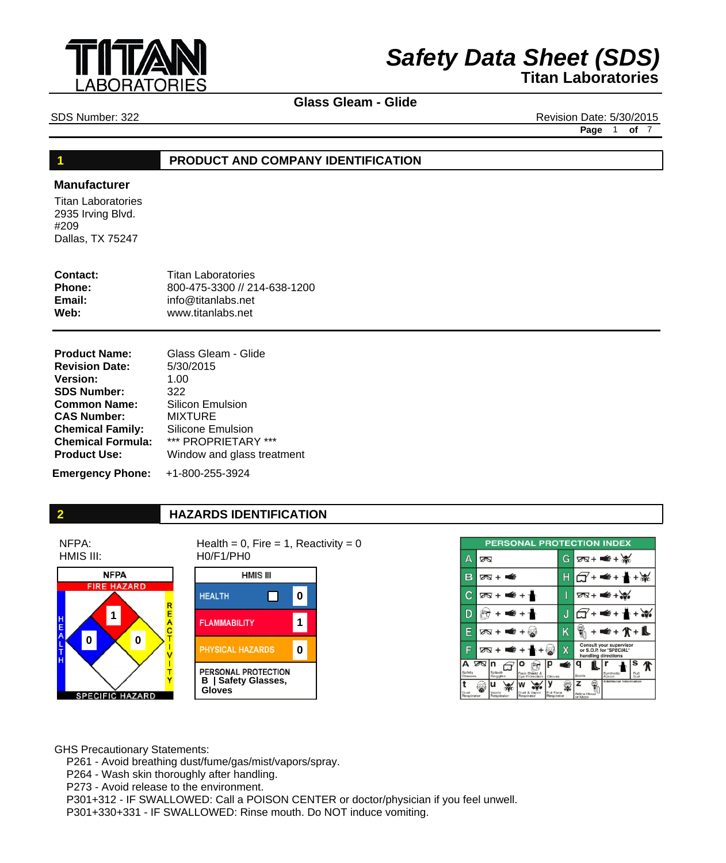

# **Glass Gleam - Glide**

SDS Number: 322 Revision Date: 5/30/2015

**Page** 1 **of** 7

#### **1 PRODUCT AND COMPANY IDENTIFICATION**

### **Manufacturer**

Titan Laboratories 2935 Irving Blvd. #209 Dallas, TX 75247

| Contact:      | <b>Titan Laboratories</b>    |
|---------------|------------------------------|
| <b>Phone:</b> | 800-475-3300 // 214-638-1200 |
| Email:        | $info@$ titanlabs.net        |
| Web:          | www.titanlabs.net            |

| <b>Product Name:</b>     | Glass Gleam - Glide        |
|--------------------------|----------------------------|
| <b>Revision Date:</b>    | 5/30/2015                  |
| <b>Version:</b>          | 1.00                       |
| <b>SDS Number:</b>       | 322                        |
| <b>Common Name:</b>      | <b>Silicon Emulsion</b>    |
| <b>CAS Number:</b>       | <b>MIXTURE</b>             |
| <b>Chemical Family:</b>  | Silicone Emulsion          |
| <b>Chemical Formula:</b> | *** PROPRIETARY ***        |
| <b>Product Use:</b>      | Window and glass treatment |
|                          |                            |

**Emergency Phone:** +1-800-255-3924

NFPA: HMIS III:

# **2 HAZARDS IDENTIFICATION**

Health =  $0$ , Fire = 1, Reactivity =  $0$ H0/F1/PH0



**HMIS III HEALTH** П **0 FLAMMABILITY 1** PHYSICAL HAZARDS **0** PERSONAL PROTECTION **B | Safety Glasses, Gloves**

| <b>PERSONAL PROTECTION INDEX</b> |                       |                          |                                 |                         |   |                                                                           |                         |                   |
|----------------------------------|-----------------------|--------------------------|---------------------------------|-------------------------|---|---------------------------------------------------------------------------|-------------------------|-------------------|
| Δ                                | ∞                     |                          |                                 |                         | G |                                                                           | ष्ठ≺ + <del>≢</del> + ‰ |                   |
| В                                |                       | ळ + <del>⊄</del>         |                                 |                         |   |                                                                           | €+                      |                   |
| С                                |                       | क्र + ≢ + ≁              |                                 |                         | I |                                                                           | $70x + 4x$              |                   |
|                                  | ⋹⊣⋠                   |                          |                                 | J                       |   | ≢≠∎∎⊌                                                                     |                         |                   |
| F                                |                       | ⊠ + ■€ + ⊗               |                                 |                         | Κ |                                                                           | ● + 介 + L               |                   |
| F                                | 2⊼ + <del>=</del> + 1 |                          |                                 | Χ                       |   | Consult your supervisor<br>or S.O.P. for "SPECIAL"<br>handling directions |                         |                   |
| А<br>Safety<br>Glasses           | ∞                     | In<br>Splash<br>Goggles  | Face Shield &<br>Eve Protection | Gloves                  | É | Boots                                                                     | Synthetic<br>Abron      | s<br>Full<br>Suit |
| Dust<br>Respirator               |                       | u<br>Vapor<br>Respirator | Dust & Vapor<br>Regoirator      | Full Face<br>Respirator |   | z<br>Airline Hood<br>or Mask                                              | Additional Information  |                   |

GHS Precautionary Statements:

 P261 - Avoid breathing dust/fume/gas/mist/vapors/spray.

 P264 - Wash skin thoroughly after handling.

 P273 - Avoid release to the environment.

 P301+312 - IF SWALLOWED: Call a POISON CENTER or doctor/physician if you feel unwell.

 P301+330+331 - IF SWALLOWED: Rinse mouth. Do NOT induce vomiting.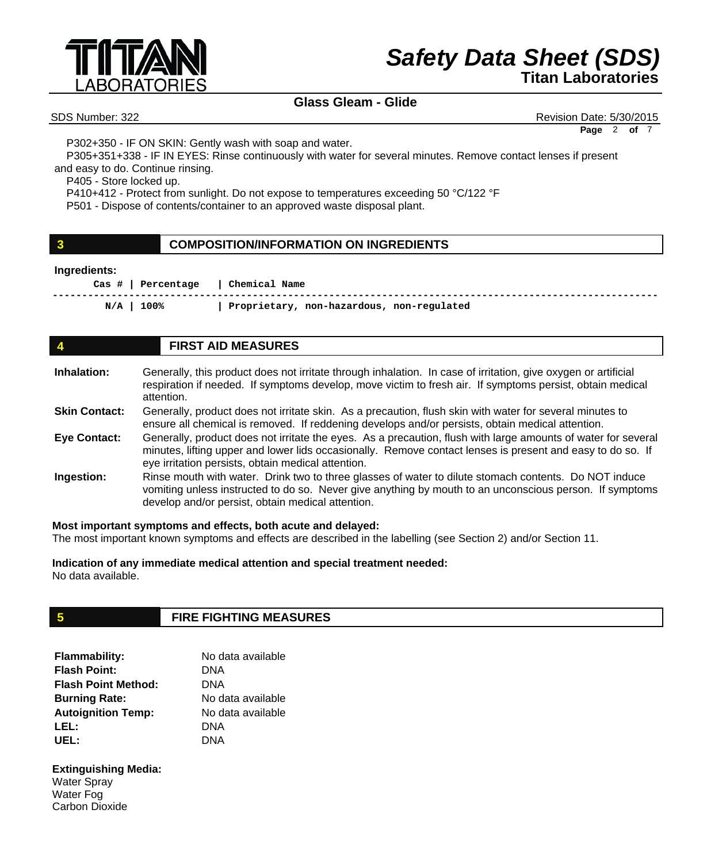

# **Glass Gleam - Glide**

SDS Number: 322 Revision Date: 5/30/2015

**Page** 2 **of** 7

 P302+350 - IF ON SKIN: Gently wash with soap and water.

 P305+351+338 - IF IN EYES: Rinse continuously with water for several minutes. Remove contact lenses if present and easy to do. Continue rinsing.

 P405 - Store locked up.

 P410+412 - Protect from sunlight. Do not expose to temperatures exceeding 50 °C/122 °F

 P501 - Dispose of contents/container to an approved waste disposal plant.

### **3 COMPOSITION/INFORMATION ON INGREDIENTS**

#### **Ingredients:**

 **Cas # | Percentage | Chemical Name -------------------------------------------------------------------------------------------------------** 

 **N/A | 100% | Proprietary, non-hazardous, non-regulated** 

# **4 FIRST AID MEASURES**

| Inhalation:          | Generally, this product does not irritate through inhalation. In case of irritation, give oxygen or artificial |
|----------------------|----------------------------------------------------------------------------------------------------------------|
|                      | respiration if needed. If symptoms develop, move victim to fresh air. If symptoms persist, obtain medical      |
|                      | attention.                                                                                                     |
| <b>Skin Contact:</b> | Generally, product does not irritate skin. As a precaution flush skin with water for several minutes to        |

- e skin. As a precaution, flush skin with water for several m ensure all chemical is removed. If reddening develops and/or persists, obtain medical attention. **Skin Contact:**
- Generally, product does not irritate the eyes. As a precaution, flush with large amounts of water for several minutes, lifting upper and lower lids occasionally. Remove contact lenses is present and easy to do so. If eye irritation persists, obtain medical attention. **Eye Contact:**
- Rinse mouth with water. Drink two to three glasses of water to dilute stomach contents. Do NOT induce vomiting unless instructed to do so. Never give anything by mouth to an unconscious person. If symptoms develop and/or persist, obtain medical attention. **Ingestion:**

#### **Most important symptoms and effects, both acute and delayed:**

The most important known symptoms and effects are described in the labelling (see Section 2) and/or Section 11.

**Indication of any immediate medical attention and special treatment needed:** No data available.

# **5 FIRE FIGHTING MEASURES**

| <b>Flammability:</b>       | No data available |
|----------------------------|-------------------|
| <b>Flash Point:</b>        | DNA               |
| <b>Flash Point Method:</b> | DNA               |
| <b>Burning Rate:</b>       | No data available |
| <b>Autoignition Temp:</b>  | No data available |
| LEL:                       | DNA               |
| UEL:                       | DNA               |

#### **Extinguishing Media:**  Water Spray Water Fog Carbon Dioxide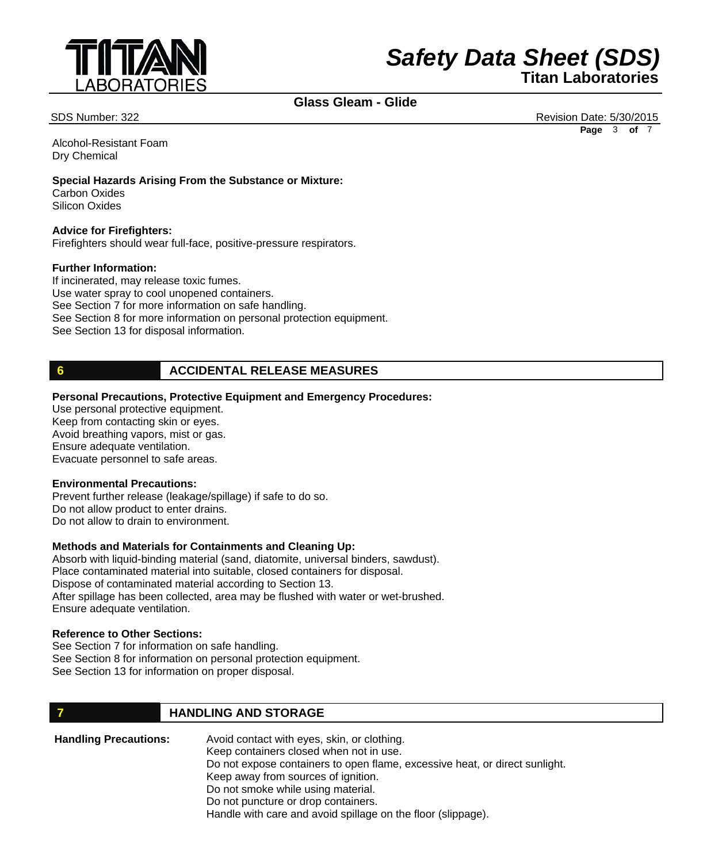

# **Glass Gleam - Glide**

SDS Number: 322 Revision Date: 5/30/2015 **Page** 3 **of** 7

Alcohol-Resistant Foam Dry Chemical

#### **Special Hazards Arising From the Substance or Mixture:**

Carbon Oxides Silicon Oxides

### **Advice for Firefighters:**

Firefighters should wear full-face, positive-pressure respirators.

#### **Further Information:**

If incinerated, may release toxic fumes. Use water spray to cool unopened containers. See Section 7 for more information on safe handling. See Section 8 for more information on personal protection equipment. See Section 13 for disposal information.

### **6 ACCIDENTAL RELEASE MEASURES**

#### **Personal Precautions, Protective Equipment and Emergency Procedures:**

Use personal protective equipment. Keep from contacting skin or eyes. Avoid breathing vapors, mist or gas. Ensure adequate ventilation. Evacuate personnel to safe areas.

#### **Environmental Precautions:**

Prevent further release (leakage/spillage) if safe to do so. Do not allow product to enter drains. Do not allow to drain to environment.

### **Methods and Materials for Containments and Cleaning Up:**

Absorb with liquid-binding material (sand, diatomite, universal binders, sawdust). Place contaminated material into suitable, closed containers for disposal. Dispose of contaminated material according to Section 13. After spillage has been collected, area may be flushed with water or wet-brushed. Ensure adequate ventilation.

#### **Reference to Other Sections:**

See Section 7 for information on safe handling. See Section 8 for information on personal protection equipment. See Section 13 for information on proper disposal.

# **7 HANDLING AND STORAGE**

| <b>Handling Precautions:</b> | Avoid contact with eyes, skin, or clothing.                                 |
|------------------------------|-----------------------------------------------------------------------------|
|                              | Keep containers closed when not in use.                                     |
|                              | Do not expose containers to open flame, excessive heat, or direct sunlight. |
|                              | Keep away from sources of ignition.                                         |
|                              | Do not smoke while using material.                                          |
|                              | Do not puncture or drop containers.                                         |
|                              | Handle with care and avoid spillage on the floor (slippage).                |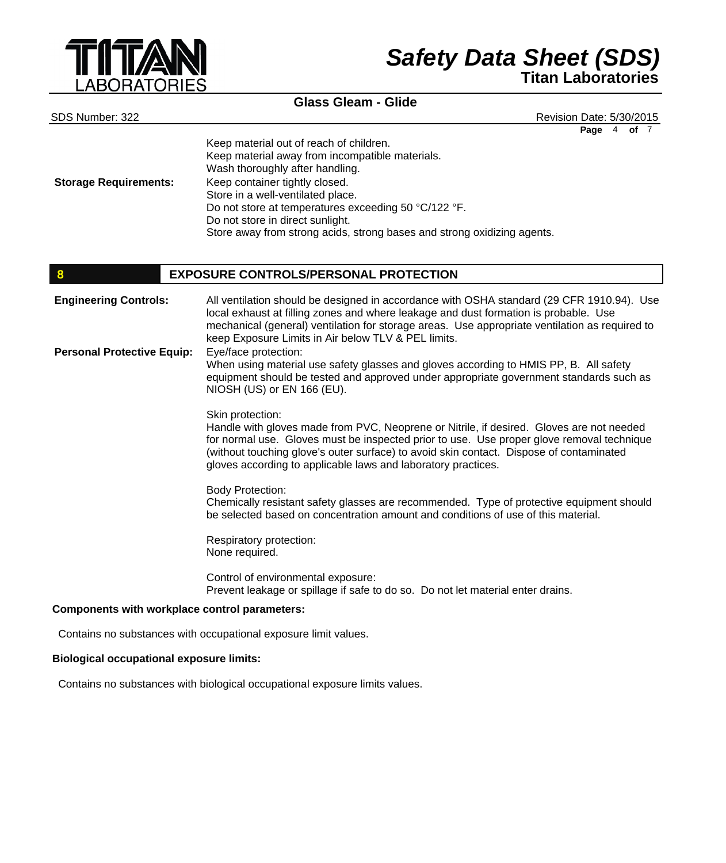

### **Glass Gleam - Glide**

SDS Number: 322 Revision Date: 5/30/2015 **Page** 4 **of** 7

|                              | Keep material out of reach of children.<br>Keep material away from incompatible materials.<br>Wash thoroughly after handling. |
|------------------------------|-------------------------------------------------------------------------------------------------------------------------------|
| <b>Storage Requirements:</b> | Keep container tightly closed.                                                                                                |
|                              | Store in a well-ventilated place.                                                                                             |
|                              | Do not store at temperatures exceeding 50 °C/122 °F.                                                                          |
|                              | Do not store in direct sunlight.                                                                                              |
|                              | Store away from strong acids, strong bases and strong oxidizing agents.                                                       |

#### **8 EXPOSURE CONTROLS/PERSONAL PROTECTION**

All ventilation should be designed in accordance with OSHA standard (29 CFR 1910.94). Use local exhaust at filling zones and where leakage and dust formation is probable. Use mechanical (general) ventilation for storage areas. Use appropriate ventilation as required to keep Exposure Limits in Air below TLV & PEL limits. Eye/face protection: When using material use safety glasses and gloves according to HMIS PP, B. All safety equipment should be tested and approved under appropriate government standards such as NIOSH (US) or EN 166 (EU). Skin protection: Handle with gloves made from PVC, Neoprene or Nitrile, if desired. Gloves are not needed for normal use. Gloves must be inspected prior to use. Use proper glove removal technique (without touching glove's outer surface) to avoid skin contact. Dispose of contaminated gloves according to applicable laws and laboratory practices. Body Protection: Chemically resistant safety glasses are recommended. Type of protective equipment should be selected based on concentration amount and conditions of use of this material. Respiratory protection: None required. Control of environmental exposure: Prevent leakage or spillage if safe to do so. Do not let material enter drains. **Engineering Controls: Personal Protective Equip:**

#### **Components with workplace control parameters:**

Contains no substances with occupational exposure limit values.

#### **Biological occupational exposure limits:**

Contains no substances with biological occupational exposure limits values.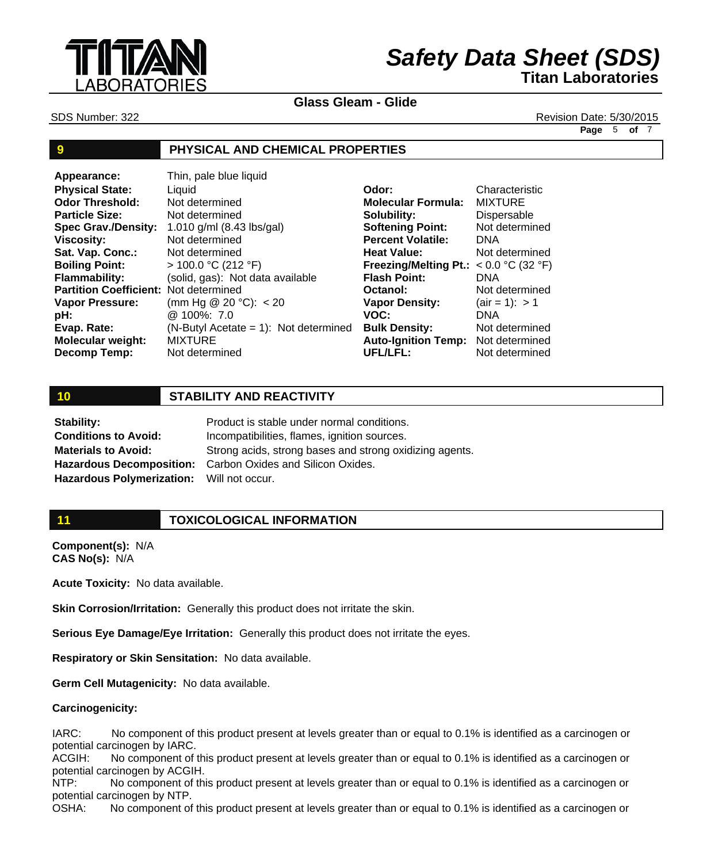

**Glass Gleam - Glide**

SDS Number: 322 Revision Date: 5/30/2015

**Page** 5 **of** 7

### **9 PHYSICAL AND CHEMICAL PROPERTIES**

| Appearance:                                  | Thin, pale blue liquid                  |                                          |                         |
|----------------------------------------------|-----------------------------------------|------------------------------------------|-------------------------|
| <b>Physical State:</b>                       | Liauid                                  | Odor:                                    | Characteristic          |
| <b>Odor Threshold:</b>                       | Not determined                          | <b>Molecular Formula:</b>                | <b>MIXTURE</b>          |
| <b>Particle Size:</b>                        | Not determined                          | Solubility:                              | Dispersable             |
| <b>Spec Grav./Density:</b>                   | 1.010 g/ml (8.43 lbs/gal)               | <b>Softening Point:</b>                  | Not determined          |
| <b>Viscosity:</b>                            | Not determined                          | <b>Percent Volatile:</b>                 | <b>DNA</b>              |
| Sat. Vap. Conc.:                             | Not determined                          | <b>Heat Value:</b>                       | Not determined          |
| <b>Boiling Point:</b>                        | $> 100.0$ °C (212 °F)                   | Freezing/Melting Pt.: $< 0.0$ °C (32 °F) |                         |
| <b>Flammability:</b>                         | (solid, gas): Not data available        | <b>Flash Point:</b>                      | <b>DNA</b>              |
| <b>Partition Coefficient: Not determined</b> |                                         | Octanol:                                 | Not determined          |
| <b>Vapor Pressure:</b>                       | (mm Hg @ 20 °C): $<$ 20                 | <b>Vapor Density:</b>                    | $\text{(air = 1)}: > 1$ |
| pH:                                          | @ 100%: 7.0                             | VOC:                                     | <b>DNA</b>              |
| Evap. Rate:                                  | $(N-ButyI Accate = 1)$ : Not determined | <b>Bulk Density:</b>                     | Not determined          |
| <b>Molecular weight:</b>                     | <b>MIXTURE</b>                          | <b>Auto-Ignition Temp:</b>               | Not determined          |
| Decomp Temp:                                 | Not determined                          | <b>UFL/LFL:</b>                          | Not determined          |

# **10 STABILITY AND REACTIVITY**

Product is stable under normal conditions. Incompatibilities, flames, ignition sources. Strong acids, strong bases and strong oxidizing agents. Carbon Oxides and Silicon Oxides. Will not occur. **Stability: Conditions to Avoid: Materials to Avoid: Hazardous Decomposition: Hazardous Polymerization:**

# **11 TOXICOLOGICAL INFORMATION**

**Component(s):** N/A **CAS No(s):** N/A

**Acute Toxicity:** No data available.

**Skin Corrosion/Irritation:** Generally this product does not irritate the skin.

**Serious Eye Damage/Eye Irritation:** Generally this product does not irritate the eyes.

**Respiratory or Skin Sensitation:** No data available.

**Germ Cell Mutagenicity:** No data available.

#### **Carcinogenicity:**

IARC: No component of this product present at levels greater than or equal to 0.1% is identified as a carcinogen or potential carcinogen by IARC.

ACGIH: No component of this product present at levels greater than or equal to 0.1% is identified as a carcinogen or potential carcinogen by ACGIH.

NTP: No component of this product present at levels greater than or equal to 0.1% is identified as a carcinogen or potential carcinogen by NTP.

OSHA: No component of this product present at levels greater than or equal to 0.1% is identified as a carcinogen or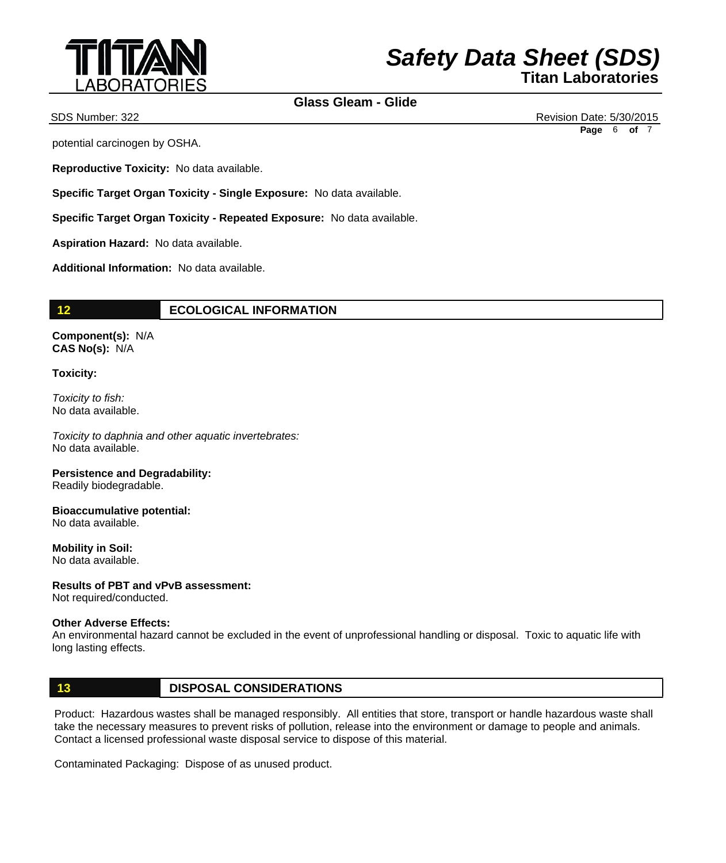

# **Glass Gleam - Glide**

potential carcinogen by OSHA.

**Reproductive Toxicity:** No data available.

**Specific Target Organ Toxicity - Single Exposure:** No data available.

**Specific Target Organ Toxicity - Repeated Exposure:** No data available.

**Aspiration Hazard:** No data available.

**Additional Information:** No data available.

### **12 ECOLOGICAL INFORMATION**

**Component(s):** N/A **CAS No(s):** N/A

#### **Toxicity:**

*Toxicity to fish:* No data available.

*Toxicity to daphnia and other aquatic invertebrates:* No data available.

**Persistence and Degradability:**  Readily biodegradable.

**Bioaccumulative potential:**  No data available.

**Mobility in Soil:**  No data available.

### **Results of PBT and vPvB assessment:**

Not required/conducted.

#### **Other Adverse Effects:**

An environmental hazard cannot be excluded in the event of unprofessional handling or disposal. Toxic to aquatic life with long lasting effects.

### **13 DISPOSAL CONSIDERATIONS**

Product: Hazardous wastes shall be managed responsibly. All entities that store, transport or handle hazardous waste shall take the necessary measures to prevent risks of pollution, release into the environment or damage to people and animals. Contact a licensed professional waste disposal service to dispose of this material.

Contaminated Packaging: Dispose of as unused product.

SDS Number: 322 Revision Date: 5/30/2015 **Page** 6 **of** 7